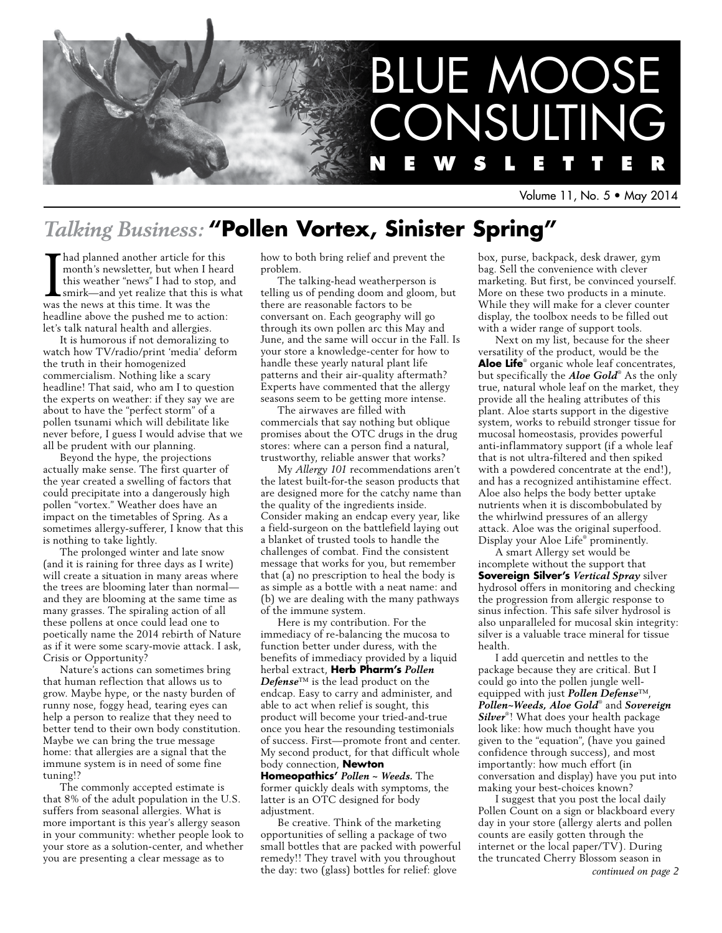

Volume 11, No. 5 • May 2014

# *Talking Business:* **"Pollen Vortex, Sinister Spring"**

Thad planned another article for this<br>month's newsletter, but when I hear<br>this weather "news" I had to stop, ar<br>smirk—and yet realize that this is w<br>was the news at this time. It was the month's newsletter, but when I heard this weather "news" I had to stop, and smirk—and yet realize that this is what was the news at this time. It was the headline above the pushed me to action: let's talk natural health and allergies.

It is humorous if not demoralizing to watch how TV/radio/print 'media' deform the truth in their homogenized commercialism. Nothing like a scary headline! That said, who am I to question the experts on weather: if they say we are about to have the "perfect storm" of a pollen tsunami which will debilitate like never before, I guess I would advise that we all be prudent with our planning.

Beyond the hype, the projections actually make sense. The first quarter of the year created a swelling of factors that could precipitate into a dangerously high pollen "vortex." Weather does have an impact on the timetables of Spring. As a sometimes allergy-sufferer, I know that this is nothing to take lightly.

The prolonged winter and late snow (and it is raining for three days as I write) will create a situation in many areas where the trees are blooming later than normal and they are blooming at the same time as many grasses. The spiraling action of all these pollens at once could lead one to poetically name the 2014 rebirth of Nature as if it were some scary-movie attack. I ask, Crisis or Opportunity?

Nature's actions can sometimes bring that human reflection that allows us to grow. Maybe hype, or the nasty burden of runny nose, foggy head, tearing eyes can help a person to realize that they need to better tend to their own body constitution. Maybe we can bring the true message home: that allergies are a signal that the immune system is in need of some fine tuning!?

The commonly accepted estimate is that 8% of the adult population in the U.S. suffers from seasonal allergies. What is more important is this year's allergy season in your community: whether people look to your store as a solution-center, and whether you are presenting a clear message as to

how to both bring relief and prevent the problem.

The talking-head weatherperson is telling us of pending doom and gloom, but there are reasonable factors to be conversant on. Each geography will go through its own pollen arc this May and June, and the same will occur in the Fall. Is your store a knowledge-center for how to handle these yearly natural plant life patterns and their air-quality aftermath? Experts have commented that the allergy seasons seem to be getting more intense.

The airwaves are filled with commercials that say nothing but oblique promises about the OTC drugs in the drug stores: where can a person find a natural, trustworthy, reliable answer that works?

My *Allergy 101* recommendations aren't the latest built-for-the season products that are designed more for the catchy name than the quality of the ingredients inside. Consider making an endcap every year, like a field-surgeon on the battlefield laying out a blanket of trusted tools to handle the challenges of combat. Find the consistent message that works for you, but remember that (a) no prescription to heal the body is as simple as a bottle with a neat name: and (b) we are dealing with the many pathways of the immune system.

Here is my contribution. For the immediacy of re-balancing the mucosa to function better under duress, with the benefits of immediacy provided by a liquid herbal extract, **Herb Pharm's** *Pollen Defense*™ is the lead product on the endcap. Easy to carry and administer, and able to act when relief is sought, this product will become your tried-and-true once you hear the resounding testimonials of success. First—promote front and center. My second product, for that difficult whole body connection, **Newton Homeopathics'** *Pollen ~ Weeds.* The

former quickly deals with symptoms, the latter is an OTC designed for body adjustment.

Be creative. Think of the marketing opportunities of selling a package of two small bottles that are packed with powerful remedy!! They travel with you throughout the day: two (glass) bottles for relief: glove

box, purse, backpack, desk drawer, gym bag. Sell the convenience with clever marketing. But first, be convinced yourself. More on these two products in a minute. While they will make for a clever counter display, the toolbox needs to be filled out with a wider range of support tools.

Next on my list, because for the sheer versatility of the product, would be the **Aloe Life**® organic whole leaf concentrates, but specifically the *Aloe Gold*® As the only true, natural whole leaf on the market, they provide all the healing attributes of this plant. Aloe starts support in the digestive system, works to rebuild stronger tissue for mucosal homeostasis, provides powerful anti-inflammatory support (if a whole leaf that is not ultra-filtered and then spiked with a powdered concentrate at the end!), and has a recognized antihistamine effect. Aloe also helps the body better uptake nutrients when it is discombobulated by the whirlwind pressures of an allergy attack. Aloe was the original superfood. Display your Aloe Life® prominently.

A smart Allergy set would be incomplete without the support that **Sovereign Silver's** *Vertical Spray* silver hydrosol offers in monitoring and checking the progression from allergic response to sinus infection. This safe silver hydrosol is also unparalleled for mucosal skin integrity: silver is a valuable trace mineral for tissue health.

I add quercetin and nettles to the package because they are critical. But I could go into the pollen jungle wellequipped with just *Pollen Defense*™, *Pollen~Weeds, Aloe Gold*® and *Sovereign Silver*® ! What does your health package look like: how much thought have you given to the "equation", (have you gained confidence through success), and most importantly: how much effort (in conversation and display) have you put into making your best-choices known?

I suggest that you post the local daily Pollen Count on a sign or blackboard every day in your store (allergy alerts and pollen counts are easily gotten through the internet or the local paper/TV). During the truncated Cherry Blossom season in *continued on page 2*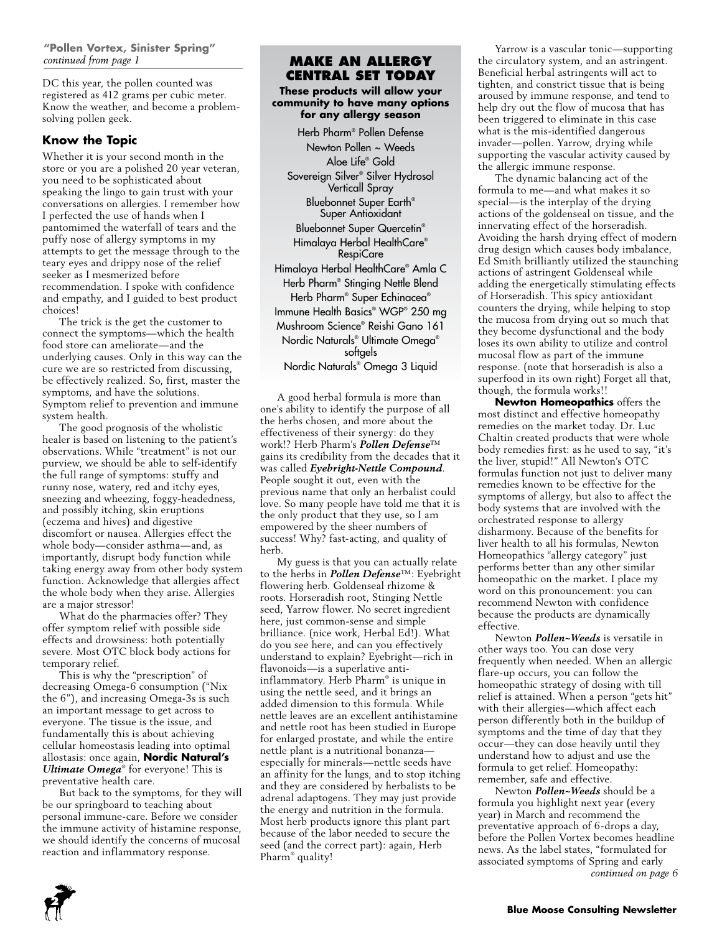DC this year, the pollen counted was registered as 412 grams per cubic meter. Know the weather, and become a problemsolving pollen geek.

#### **Know the Topic**

Whether it is your second month in the store or you are a polished 20 year veteran, you need to be sophisticated about speaking the lingo to gain trust with your conversations on allergies. I remember how I perfected the use of hands when I pantomimed the waterfall of tears and the puffy nose of allergy symptoms in my attempts to get the message through to the teary eyes and drippy nose of the relief seeker as I mesmerized before recommendation. I spoke with confidence and empathy, and I guided to best product choices!

The trick is the get the customer to connect the symptoms—which the health food store can ameliorate—and the underlying causes. Only in this way can the cure we are so restricted from discussing, be effectively realized. So, first, master the symptoms, and have the solutions. Symptom relief to prevention and immune system health.

The good prognosis of the wholistic healer is based on listening to the patient's observations. While "treatment" is not our purview, we should be able to self-identify the full range of symptoms: stuffy and runny nose, watery, red and itchy eyes, sneezing and wheezing, foggy-headedness, and possibly itching, skin eruptions (eczema and hives) and digestive discomfort or nausea. Allergies effect the whole body—consider asthma—and, as importantly, disrupt body function while taking energy away from other body system function. Acknowledge that allergies affect the whole body when they arise. Allergies are a major stressor!

What do the pharmacies offer? They offer symptom relief with possible side effects and drowsiness: both potentially severe. Most OTC block body actions for temporary relief.

This is why the "prescription" of decreasing Omega-6 consumption ("Nix the 6"), and increasing Omega-3s is such an important message to get across to everyone. The tissue is the issue, and fundamentally this is about achieving cellular homeostasis leading into optimal allostasis: once again, **Nordic Natural's**  *Ultimate Omega*® for everyone! This is preventative health care.

But back to the symptoms, for they will be our springboard to teaching about personal immune-care. Before we consider the immune activity of histamine response, we should identify the concerns of mucosal reaction and inflammatory response.

#### **Make an Allergy Central set today**

**These products will allow your community to have many options for any allergy season**

Herb Pharm® Pollen Defense Newton Pollen ~ Weeds Aloe Life® Gold Sovereign Silver® Silver Hydrosol Verticall Spray Bluebonnet Super Earth® Super Antioxidant Bluebonnet Super Quercetin® Himalaya Herbal HealthCare® RespiCare Himalaya Herbal HealthCare® Amla C Herb Pharm® Stinging Nettle Blend Herb Pharm® Super Echinacea® Immune Health Basics® WGP® 250 mg Mushroom Science® Reishi Gano 161 Nordic Naturals® Ultimate Omega® softgels Nordic Naturals® Omega 3 Liquid

A good herbal formula is more than one's ability to identify the purpose of all the herbs chosen, and more about the effectiveness of their synergy: do they work!? Herb Pharm's *Pollen Defense*™ gains its credibility from the decades that it was called *Eyebright-Nettle Compound*. People sought it out, even with the previous name that only an herbalist could love. So many people have told me that it is the only product that they use, so I am empowered by the sheer numbers of success! Why? fast-acting, and quality of herb.

My guess is that you can actually relate to the herbs in *Pollen Defense*™: Eyebright flowering herb. Goldenseal rhizome & roots. Horseradish root, Stinging Nettle seed, Yarrow flower. No secret ingredient here, just common-sense and simple brilliance. (nice work, Herbal Ed!). What do you see here, and can you effectively understand to explain? Eyebright—rich in flavonoids—is a superlative antiinflammatory. Herb Pharm® is unique in using the nettle seed, and it brings an added dimension to this formula. While nettle leaves are an excellent antihistamine and nettle root has been studied in Europe for enlarged prostate, and while the entire nettle plant is a nutritional bonanza especially for minerals—nettle seeds have an affinity for the lungs, and to stop itching and they are considered by herbalists to be adrenal adaptogens. They may just provide the energy and nutrition in the formula. Most herb products ignore this plant part because of the labor needed to secure the seed (and the correct part): again, Herb Pharm® quality!

Yarrow is a vascular tonic—supporting the circulatory system, and an astringent. Beneficial herbal astringents will act to tighten, and constrict tissue that is being aroused by immune response, and tend to help dry out the flow of mucosa that has been triggered to eliminate in this case what is the mis-identified dangerous invader—pollen. Yarrow, drying while supporting the vascular activity caused by the allergic immune response.

The dynamic balancing act of the formula to me—and what makes it so special—is the interplay of the drying actions of the goldenseal on tissue, and the innervating effect of the horseradish. Avoiding the harsh drying effect of modern drug design which causes body imbalance, Ed Smith brilliantly utilized the staunching actions of astringent Goldenseal while adding the energetically stimulating effects of Horseradish. This spicy antioxidant counters the drying, while helping to stop the mucosa from drying out so much that they become dysfunctional and the body loses its own ability to utilize and control mucosal flow as part of the immune response. (note that horseradish is also a superfood in its own right) Forget all that, though, the formula works!!

**Newton Homeopathics** offers the most distinct and effective homeopathy remedies on the market today. Dr. Luc Chaltin created products that were whole body remedies first: as he used to say, "it's the liver, stupid!" All Newton's OTC formulas function not just to deliver many remedies known to be effective for the symptoms of allergy, but also to affect the body systems that are involved with the orchestrated response to allergy disharmony. Because of the benefits for liver health to all his formulas, Newton Homeopathics "allergy category" just performs better than any other similar homeopathic on the market. I place my word on this pronouncement: you can recommend Newton with confidence because the products are dynamically effective.

Newton *Pollen~Weeds* is versatile in other ways too. You can dose very frequently when needed. When an allergic flare-up occurs, you can follow the homeopathic strategy of dosing with till relief is attained. When a person "gets hit" with their allergies—which affect each person differently both in the buildup of symptoms and the time of day that they occur—they can dose heavily until they understand how to adjust and use the formula to get relief. Homeopathy: remember, safe and effective.

Newton *Pollen~Weeds* should be a formula you highlight next year (every year) in March and recommend the preventative approach of 6-drops a day, before the Pollen Vortex becomes headline news. As the label states, "formulated for associated symptoms of Spring and early *continued on page 6*

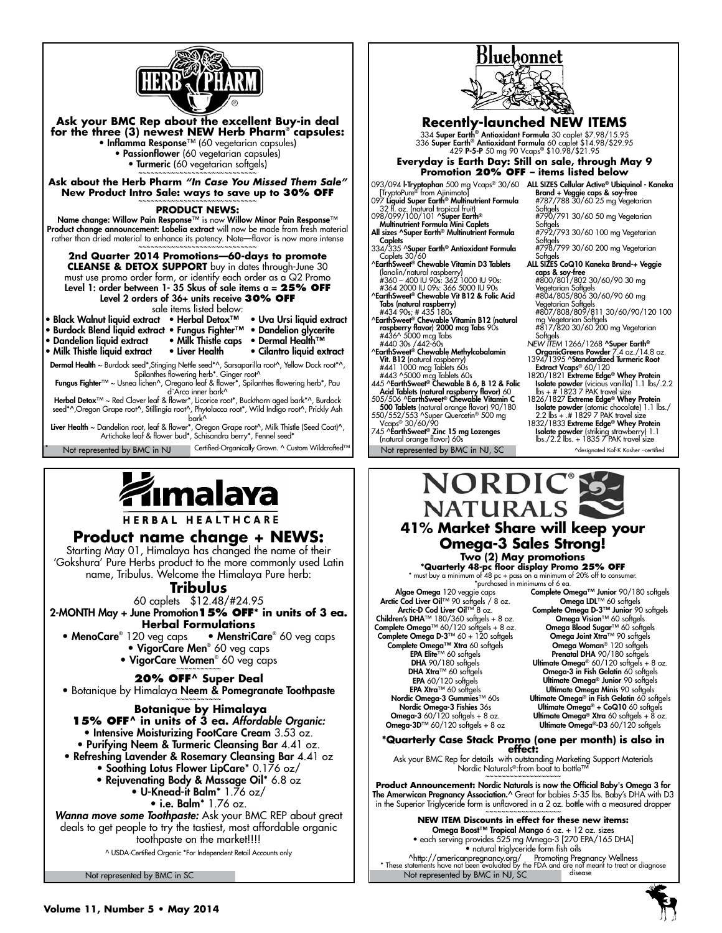





**HERBAL HEALTHCARE** 

#### **Product name change + NEWS:**

Starting May 01, Himalaya has changed the name of their 'Gokshura' Pure Herbs product to the more commonly used Latin name, Tribulus. Welcome the Himalaya Pure herb:

**Tribulus** 

60 caplets \$12.48/#24.95

2-MONTH May + June Promotion**15% OFF\* in units of 3 ea. Herbal Formulations**

• MenoCare® 120 veg caps • MenstriCare® • MenstriCare<sup>®</sup> 60 veg caps • VigorCare Men<sup>®</sup> 60 veg caps

• **VigorCare Women® 60** veg caps

#### **20% OFF^ Super Deal**

• Botanique by Himalaya Neem & Pomegranate Toothpaste ~~~~~~~~~~~

 **Botanique by Himalaya 15% OFF^ in units of 3 ea.** *Affordable Organic:*  • Intensive Moisturizing FootCare Cream 3.53 oz.

- Purifying Neem & Turmeric Cleansing Bar 4.41 oz.
- Refreshing Lavender & Rosemary Cleansing Bar 4.41 oz • Soothing Lotus Flower LipCare\* 0.176 oz/
	- Rejuvenating Body & Massage Oil\* 6.8 oz

• U-Knead-it Balm\* 1.76 oz/

• i.e. Balm\* 1.76 oz.

*Wanna move some Toothpaste:* Ask your BMC REP about great deals to get people to try the tastiest, most affordable organic toothpaste on the market!!!!

^ USDA-Certified Organic \*For Independent Retail Accounts only

Not represented by BMC in SC



745 ^EarthSweet® Zinc 15 mg Lozenges (natural orange flavor) 60s

# ^designated Kof-K Kosher –certified **Isolate powder** (striking strawberry) 1.1<br>lbs./2.2 lbs. + 1835 7 PAK travel size



**Two (2) May promotions**<br> **\*Quarterly 48-pc floor display Promo 25% OFF**<br> **\*** must buy a minimum of 48 pc + pass on a minimum of 20% off to consumer.

\*purchased in minimums of 6 ea. Algae Omega 120 veggie caps<br>Arctic Cod Liver Oil™ 90 softgels / 8 oz.<br>Arctic-D Cod Liver Oil™ 8 oz. Children's DHA™ 180/360 softgels + 8 oz. Complete Omega™ 60/120 softgels + 8 oz. Complete Omega D-3™ 60 + 120 softgels<br>Complete Omega™ Xtra 60 softgels<br>EPA Elite™ 60 softgels DHA 90/180 softgels DHA Xtra™ 60 softgels EPA 60/120 softgels EPA Xtra™ 60 softgels Nordic Omega-3 Gummies™ 60s Nordic Omega-3 Fishies 36s **Omega-3** 60/120 softgels + 8 oz.<br>**Omega-3D™** 60/120 softgels + 8 oz

Complete Omega™ Junior 90/180 softgels Omega LDL™ 60 softgels Complete Omega D-3™ Junior 90 softgels Omega Vision™ 60 softgels **Omega Blood Sugar™** 60 softgels<br>• **Omega Joint Xtra™** 90 softgels Omega Woman® 120 softgels Prenatal DHA 90/180 softgels Ultimate Omega® 60/120 softgels + 8 oz. Omega-3 in Fish Gelatin 60 softgels Ultimate Omega® Junior 90 softgels Ultimate Omega Minis 90 softge Ultimate Omega® in Fish Gelatin 60 softgels Ultimate Omega® + CoQ10 60 softgels Ultimate Omega® Xtra 60 softgels + 8 oz. Ultimate Omega®-D3 60/120 softgels

# **\*Quarterly Case Stack Promo (one per month) is also in effect:**

Ask your BMC Rep for details with outstanding Marketing Support Materials Nordic Naturals®:from boat to bottle™<br>~~~~~~~~~~~~~~~~~~~

**Product Announcement:** Nordic Naturals is now the Official Baby's Omega 3 for **The Amerwican Pregnancy Association.^** Great for babies 5-35 lbs. Baby's DHA with D3 in the Superior Triglyceride form is unflavored in a 2 oz. bottle with a measured dropper<br>~~~~~~~~~~~~~~~~~~~~~~~~~~~~~~~~~

**NEW ITEM Discounts in effect for these new items:** Omega Boost™ Tropical Mango 6 oz. + 12 oz. sizes • each serving provides 525 mg Mmega-3 [270 EPA/165 DHA] • natural triglyceride form fish oils

Not represented by BMC in NJ, SC ^http://americanpregnancy.org/ Promoting Pregnancy Wellness \* These statements have not been evaluated by the FDA and are not meant to treat or diagnose disease

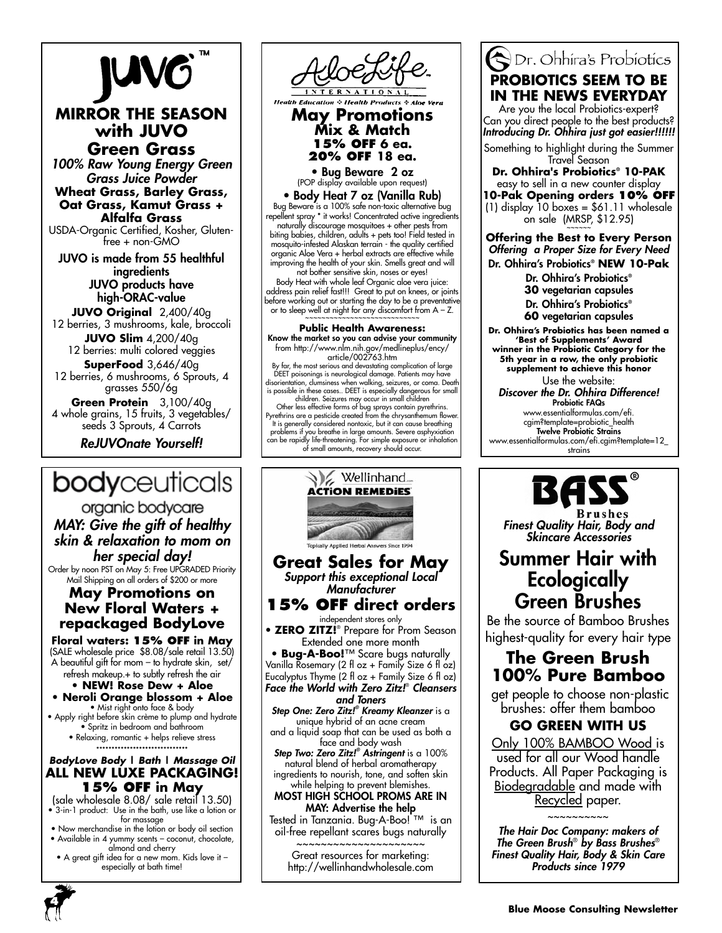# **JUVG**

### **MIRROR THE SEASON with JUVO Green Grass**

*100% Raw Young Energy Green Grass Juice Powder* **Wheat Grass, Barley Grass, Oat Grass, Kamut Grass + Alfalfa Grass**

USDA-Organic Certified, Kosher, Glutenfree + non-GMO

JUVO is made from 55 healthful ingredients JUVO products have

high-ORAC-value **JUVO Original** 2,400/40g 12 berries, 3 mushrooms, kale, broccoli **JUVO Slim** 4,200/40g

12 berries: multi colored veggies **SuperFood** 3,646/40g

12 berries, 6 mushrooms, 6 Sprouts, 4 grasses 550/6g

**Green Protein** 3,100/40g 4 whole grains, 15 fruits, 3 vegetables/ seeds 3 Sprouts, 4 Carrots

*ReJUVOnate Yourself!*

# **body**ceuticals

organic bodycare *MAY: Give the gift of healthy skin & relaxation to mom on her special day!*

Order by noon PST on May 5: Free UPGRADED Priority Mail Shipping on all orders of \$200 or more

### **May Promotions on New Floral Waters + repackaged BodyLove**

**Floral waters: 15% off in May** (SALE wholesale price \$8.08/sale retail 13.50) A beautiful gift for mom – to hydrate skin, set/

refresh makeup.+ to subtly refresh the air **• NEW! Rose Dew + Aloe**

**• Neroli Orange blossom + Aloe** • Mist right onto face & body

• Apply right before skin crème to plump and hydrate • Spritz in bedroom and bathroom • Relaxing, romantic + helps relieve stress

#### \*\*\*\*\*\*\*\*\*\*\*\*\*\*\*\*\*\*\*\*\*\*\*\*\*\*\*\*\*\* *BodyLove Body* **|** *Bath* **|** *Massage Oil*  **ALL NEW LUXE PACKAGING! 15% off in May**

(sale wholesale 8.08/ sale retail 13.50) • 3-in-1 product: Use in the bath, use like a lotion or for massage

- Now merchandise in the lotion or body oil section • Available in 4 yummy scents – coconut, chocolate,
- almond and cherry
- A great gift idea for a new mom. Kids love it especially at bath time!



# **May Promotions Mix & Match 15% OFF 6 ea. 20% OFF 18 ea.**

• Bug Beware 2 oz (POP display available upon request)

• Body Heat 7 oz (Vanilla Rub) Bug Beware is a 100% safe non-toxic alternative bug repellent spray \* it works! Concentrated active ingredients naturally discourage mosquitoes + other pests from biting babies, children, adults + pets too! Field tested in mosquito-infested Alaskan terrain - the quality certified organic Aloe Vera + herbal extracts are effective while improving the health of your skin. Smells great and will

not bother sensitive skin, noses or eyes! Body Heat with whole leaf Organic aloe vera juice: address pain relief fast!!! Great to put on knees, or joints before working out or starting the day to be a preventativ or to sleep well at night for any discomfort from  $A - Z$ .

#### **Public Health Awareness:** Know the market so you can advise your community from http://www.nlm.nih.gov/medlineplus/ency/ article/002763.htm By far, the most serious and devastating complication of large DEET poisonings is neurological damage. Patients may have disorientation, clumsiness when walking, seizures, or coma. Death is possible in these cases.. DEET is especially dangerous for small children. Seizures may occur in small children Other less effective forms of bug sprays contain pyrethrins.

Pyrethrins are a pesticide created from the chrysanthemum flower. It is generally considered nontoxic, but it can cause breathing problems if you breathe in large amounts. Severe asphyxiation can be rapidly life-threatening. For simple exposure or inhalation of small amounts, recovery should occur.



Great resources for marketing: http://wellinhandwholesale.com

# Dr. Ohhira's Probiotics **PROBIOTICS SEEM TO BE IN THE NEWS EVERYDAY**

Are you the local Probiotics-expert? Can you direct people to the best products? *Introducing Dr. Ohhira just got easier!!!!!!*

Something to highlight during the Summer Travel Season

**Dr. Ohhira's Probiotics® 10-PAK**  easy to sell in a new counter display **10-Pak Opening orders 10% OFF**  $(1)$  display 10 boxes = \$61.11 wholesale

on sale  $(MRSP, $12.95)$ 

**Offering the Best to Every Person** *Offering a Proper Size for Every Need* Dr. Ohhira's Probiotics® **NEW 10-Pak**

Dr. Ohhira's Probiotics® **30** vegetarian capsules Dr. Ohhira's Probiotics®

**60** vegetarian capsules

**Dr. Ohhira's Probiotics has been named a 'Best of Supplements' Award winner in the Probiotic Category for the 5th year in a row, the only probiotic** 

**supplement to achieve this honor** Use the website:

*Discover the Dr. Ohhira Difference!* Probiotic FAQs www.essentialformulas.com/efi. cgim?template=probiotic\_health Twelve Probiotic Strains

www.essentialformulas.com/efi.cgim?template=12\_ strains

*Finest Quality Hair, Body and Skincare Accessories*

# Summer Hair with **Ecologically** Green Brushes

Be the source of Bamboo Brushes highest-quality for every hair type

# **The Green Brush 100% Pure Bamboo**

 get people to choose non-plastic brushes: offer them bamboo

## **GO GREEN WITH US**

Only 100% BAMBOO Wood is used for all our Wood handle Products. All Paper Packaging is Biodegradable and made with Recycled paper.

~~~~~~~~~~ *The Hair Doc Company: makers of The Green Brush*®  *by Bass Brushes*® *Finest Quality Hair, Body & Skin Care Products since 1979*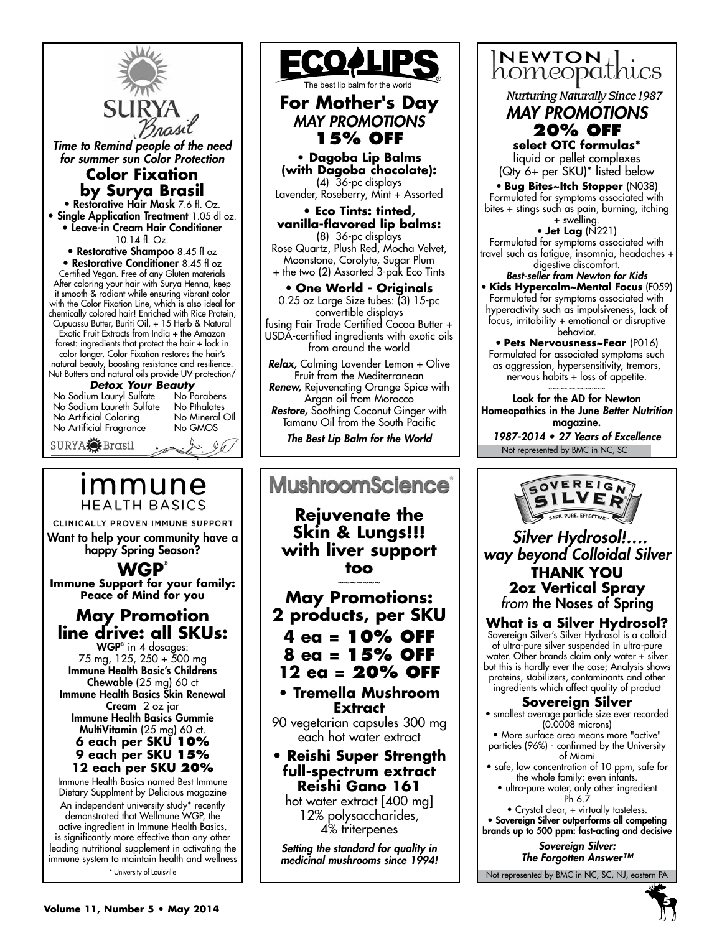

*Time to Remind people of the need for summer sun Color Protection*

### **Color Fixation by Surya Brasil**

• Restorative Hair Mask 7.6 fl. Oz. **• Single Application Treatment 1.05 dl oz.** • Leave-in Cream Hair Conditioner 10.14 fl. Oz.

• Restorative Shampoo 8.45 fl oz • Restorative Conditioner 8.45 fl oz Certified Vegan. Free of any Gluten materials After coloring your hair with Surya Henna, keep it smooth & radiant while ensuring vibrant color with the Color Fixation Line, which is also ideal for chemically colored hair! Enriched with Rice Protein, Cupuassu Butter, Buriti Oil, + 15 Herb & Natural Exotic Fruit Extracts from India + the Amazon forest: ingredients that protect the hair + lock in color longer. Color Fixation restores the hair's natural beauty, boosting resistance and resilience.

Nut Butters and natural oils provide UV-protection/

*Detox Your Beauty* No Sodium Lauryl Sulfate No Parabens No Sodium Laureth Sulfate No Pthalates No Artificial Coloring No Mineral<br>No Artificial Fraarance No GMOS No Artificial Fragrance

SURYA**<sup>SE</sup>** Brasil

 $\frac{1}{2}$ 

# ımmune **HEALTH BASICS**

CLINICALLY PROVEN IMMUNE SUPPORT Want to help your community have a happy Spring Season?

**WGP®**

**Immune Support for your family: Peace of Mind for you** 

# **May Promotion line drive: all SKUs:**

WGP® in 4 dosages: 75 mg, 125, 250 + 500 mg Immune Health Basic's Childrens Chewable (25 mg) 60 ct Immune Health Basics Skin Renewal Cream 2 oz jar Immune Health Basics Gummie MultiVitamin (25 mg) 60 ct. **6 each per SKU 10% 9 each per SKU 15% 12 each per SKU 20%**

Immune Health Basics named Best Immune Dietary Supplment by Delicious magazine An independent university study\* recently demonstrated that Wellmune WGP, the active ingredient in Immune Health Basics, is significantly more effective than any other leading nutritional supplement in activating the immune system to maintain health and wellness \* University of Louisville



# **For Mother's Day** *MAY PROMOTIONS* **15% OFF**

**• Dagoba Lip Balms (with Dagoba chocolate):** (4) 36-pc displays Lavender, Roseberry, Mint + Assorted

**• Eco Tints: tinted, vanilla-flavored lip balms:** (8) 36-pc displays Rose Quartz, Plush Red, Mocha Velvet, Moonstone, Corolyte, Sugar Plum + the two (2) Assorted 3-pak Eco Tints

• **One World - Originals**  0.25 oz Large Size tubes: (3) 15-pc convertible displays fusing Fair Trade Certified Cocoa Butter + USDA-certified ingredients with exotic oils from around the world

*Relax,* Calming Lavender Lemon + Olive Fruit from the Mediterranean *Renew,* Rejuvenating Orange Spice with

Argan oil from Morocco *Restore,* Soothing Coconut Ginger with

Tamanu Oil from the South Pacific *The Best Lip Balm for the World*

### **MushroomScience**® **Rejuvenate the Skin & Lungs!!! with liver support too** ~~~~~~~ **May Promotions: 2 products, per SKU 4 ea = 10% OFF 8 ea = 15% OFF 12 ea = 20% OFF • Tremella Mushroom Extract** 90 vegetarian capsules 300 mg each hot water extract **• Reishi Super Strength full-spectrum extract Reishi Gano 161**  hot water extract [400 mg] 12% polysaccharides, 4% triterpenes

*Setting the standard for quality in medicinal mushrooms since 1994!*

# $NEWTON_{+}$ homeopathics

**Nurturing Naturally Since 1987** 

#### *MAY PROMOTIONS* **20% OFF select OTC formulas\***

liquid or pellet complexes (Qty 6+ per SKU)\* listed below

• **Bug Bites~Itch Stopper** (N038) Formulated for symptoms associated with bites + stings such as pain, burning, itching + swelling.

• **Jet Lag** (N221) Formulated for symptoms associated with travel such as fatigue, insomnia, headaches + digestive discomfort.

*Best-seller from Newton for Kids* • **Kids Hypercalm~Mental Focus** (F059) Formulated for symptoms associated with hyperactivity such as impulsiveness, lack of focus, irritability + emotional or disruptive behavior.

• **Pets Nervousness~Fear** (P016) Formulated for associated symptoms such as aggression, hypersensitivity, tremors, nervous habits + loss of appetite. ~~~~~~~~~~~~~~

Look for the AD for Newton Homeopathics in the June *Better Nutrition*  magazine.

Not represented by BMC in NC, SC 1987-2014 • 27 Years of Excellence



*Silver Hydrosol!…. way beyond Colloidal Silver* **THANK YOU 2oz Vertical Spray** *from* the Noses of Spring

**What is a Silver Hydrosol?** Sovereign Silver's Silver Hydrosol is a colloid of ultra-pure silver suspended in ultra-pure water. Other brands claim only water + silver but this is hardly ever the case; Analysis shows proteins, stabilizers, contaminants and other ingredients which affect quality of product

#### **Sovereign Silver**

• smallest average particle size ever recorded (0.0008 microns)

• More surface area means more "active" particles (96%) - confirmed by the University of Miami

• safe, low concentration of 10 ppm, safe for the whole family: even infants.

• ultra-pure water, only other ingredient Ph 6.7

• Crystal clear, + virtually tasteless. • Sovereign Silver outperforms all competing brands up to 500 ppm: fast-acting and decisive

> *Sovereign Silver: The Forgotten Answer™*

> > **5**

Not represented by BMC in NC, SC, NJ, eastern PA

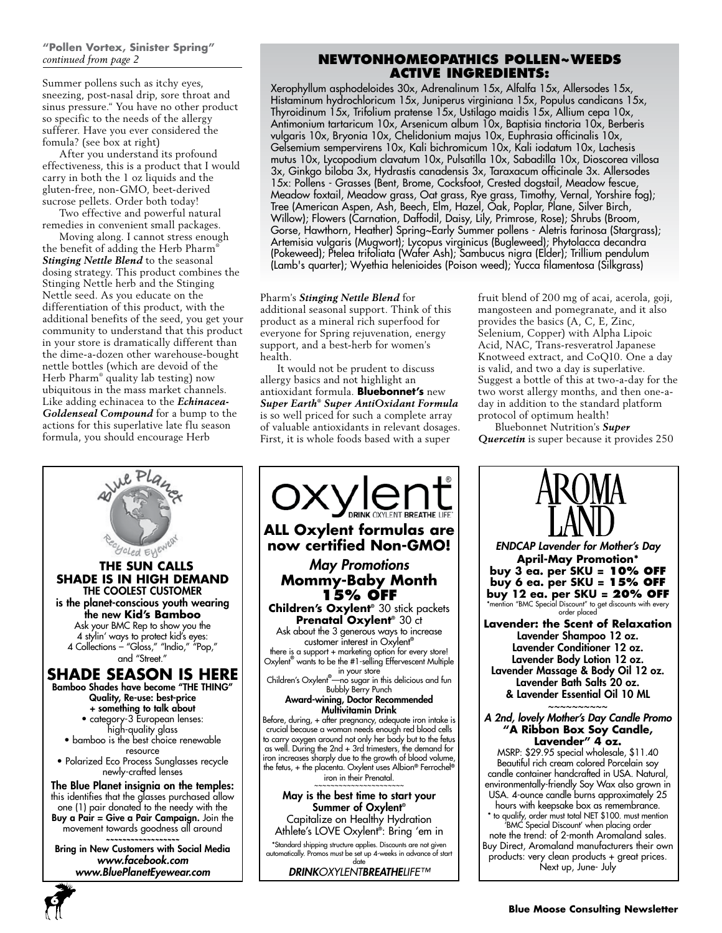# **"Pollen Vortex, Sinister Spring"**

Summer pollens such as itchy eyes, sneezing, post-nasal drip, sore throat and sinus pressure." You have no other product so specific to the needs of the allergy sufferer. Have you ever considered the fomula? (see box at right)

After you understand its profound effectiveness, this is a product that I would carry in both the 1 oz liquids and the gluten-free, non-GMO, beet-derived sucrose pellets. Order both today!

Two effective and powerful natural remedies in convenient small packages.

Moving along. I cannot stress enough the benefit of adding the Herb Pharm® *Stinging Nettle Blend* to the seasonal dosing strategy. This product combines the Stinging Nettle herb and the Stinging Nettle seed. As you educate on the differentiation of this product, with the additional benefits of the seed, you get your community to understand that this product in your store is dramatically different than the dime-a-dozen other warehouse-bought nettle bottles (which are devoid of the Herb Pharm® quality lab testing) now ubiquitous in the mass market channels. Like adding echinacea to the *Echinacea-Goldenseal Compound* for a bump to the actions for this superlative late flu season formula, you should encourage Herb

#### *continued from page 2* **NewtonHomeopathics Pollen~Weeds Active Ingredients:**

Xerophyllum asphodeloides 30x, Adrenalinum 15x, Alfalfa 15x, Allersodes 15x, Histaminum hydrochloricum 15x, Juniperus virginiana 15x, Populus candicans 15x, Thyroidinum 15x, Trifolium pratense 15x, Ustilago maidis 15x, Allium cepa 10x, Antimonium tartaricum 10x, Arsenicum album 10x, Baptisia tinctoria 10x, Berberis vulgaris 10x, Bryonia 10x, Chelidonium majus 10x, Euphrasia officinalis 10x, Gelsemium sempervirens 10x, Kali bichromicum 10x, Kali iodatum 10x, Lachesis mutus 10x, Lycopodium clavatum 10x, Pulsatilla 10x, Sabadilla 10x, Dioscorea villosa 3x, Ginkgo biloba 3x, Hydrastis canadensis 3x, Taraxacum officinale 3x. Allersodes 15x: Pollens - Grasses (Bent, Brome, Cocksfoot, Crested dogstail, Meadow fescue, Meadow foxtail, Meadow grass, Oat grass, Rye grass, Timothy, Vernal, Yorshire fog); Tree (American Aspen, Ash, Beech, Elm, Hazel, Oak, Poplar, Plane, Silver Birch, Willow); Flowers (Carnation, Daffodil, Daisy, Lily, Primrose, Rose); Shrubs (Broom, Gorse, Hawthorn, Heather) Spring~Early Summer pollens - Aletris farinosa (Stargrass); Artemisia vulgaris (Mugwort); Lycopus virginicus (Bugleweed); Phytolacca decandra (Pokeweed); Ptelea trifoliata (Wafer Ash); Sambucus nigra (Elder); Trillium pendulum (Lamb's quarter); Wyethia helenioides (Poison weed); Yucca filamentosa (Silkgrass)

#### Pharm's *Stinging Nettle Blend* for

additional seasonal support. Think of this product as a mineral rich superfood for everyone for Spring rejuvenation, energy support, and a best-herb for women's health.

It would not be prudent to discuss allergy basics and not highlight an antioxidant formula. **Bluebonnet's** new *Super Earth® Super AntiOxidant Formula* is so well priced for such a complete array of valuable antioxidants in relevant dosages. First, it is whole foods based with a super

fruit blend of 200 mg of acai, acerola, goji, mangosteen and pomegranate, and it also provides the basics (A, C, E, Zinc, Selenium, Copper) with Alpha Lipoic Acid, NAC, Trans-resveratrol Japanese Knotweed extract, and CoQ10. One a day is valid, and two a day is superlative. Suggest a bottle of this at two-a-day for the two worst allergy months, and then one-aday in addition to the standard platform protocol of optimum health!

Bluebonnet Nutrition's *Super Quercetin* is super because it provides 250



**6**



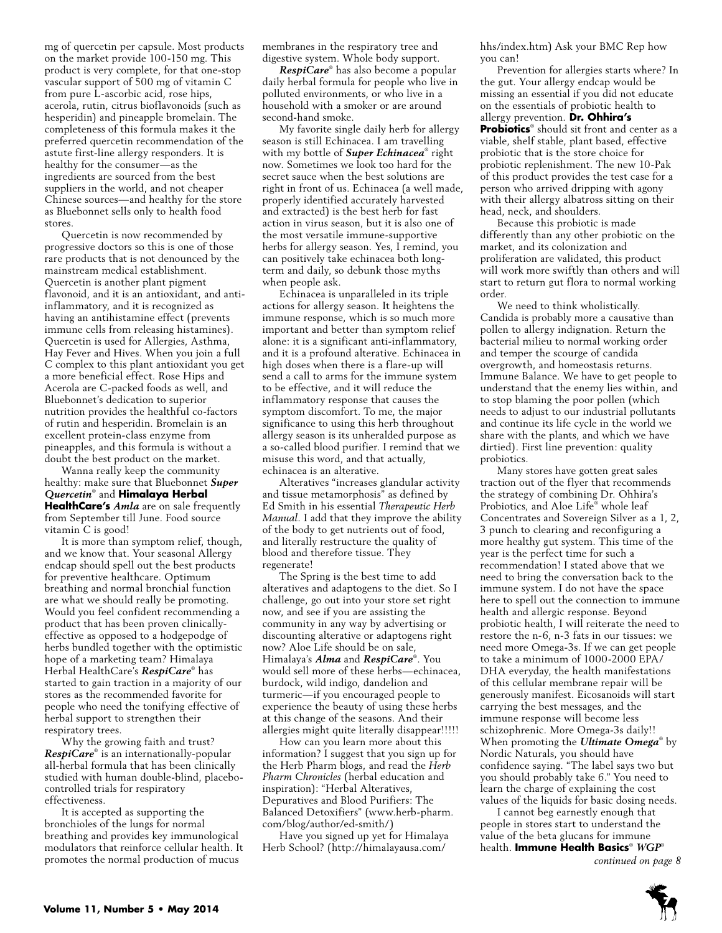mg of quercetin per capsule. Most products on the market provide 100-150 mg. This product is very complete, for that one-stop vascular support of 500 mg of vitamin C from pure L-ascorbic acid, rose hips, acerola, rutin, citrus bioflavonoids (such as hesperidin) and pineapple bromelain. The completeness of this formula makes it the preferred quercetin recommendation of the astute first-line allergy responders. It is healthy for the consumer—as the ingredients are sourced from the best suppliers in the world, and not cheaper Chinese sources—and healthy for the store as Bluebonnet sells only to health food stores.

Quercetin is now recommended by progressive doctors so this is one of those rare products that is not denounced by the mainstream medical establishment. Quercetin is another plant pigment flavonoid, and it is an antioxidant, and antiinflammatory, and it is recognized as having an antihistamine effect (prevents immune cells from releasing histamines). Quercetin is used for Allergies, Asthma, Hay Fever and Hives. When you join a full C complex to this plant antioxidant you get a more beneficial effect. Rose Hips and Acerola are C-packed foods as well, and Bluebonnet's dedication to superior nutrition provides the healthful co-factors of rutin and hesperidin. Bromelain is an excellent protein-class enzyme from pineapples, and this formula is without a doubt the best product on the market.

Wanna really keep the community healthy: make sure that Bluebonnet *Super Quercetin*® and **Himalaya Herbal HealthCare's** *Amla* are on sale frequently from September till June. Food source vitamin C is good!

It is more than symptom relief, though, and we know that. Your seasonal Allergy endcap should spell out the best products for preventive healthcare. Optimum breathing and normal bronchial function are what we should really be promoting. Would you feel confident recommending a product that has been proven clinicallyeffective as opposed to a hodgepodge of herbs bundled together with the optimistic hope of a marketing team? Himalaya Herbal HealthCare's *RespiCare*® has started to gain traction in a majority of our stores as the recommended favorite for people who need the tonifying effective of herbal support to strengthen their respiratory trees.

Why the growing faith and trust? *RespiCare*® is an internationally-popular all-herbal formula that has been clinically studied with human double-blind, placebocontrolled trials for respiratory effectiveness.

It is accepted as supporting the bronchioles of the lungs for normal breathing and provides key immunological modulators that reinforce cellular health. It promotes the normal production of mucus

membranes in the respiratory tree and digestive system. Whole body support.

*RespiCare*® has also become a popular daily herbal formula for people who live in polluted environments, or who live in a household with a smoker or are around second-hand smoke.

My favorite single daily herb for allergy season is still Echinacea. I am travelling with my bottle of *Super Echinacea*® right now. Sometimes we look too hard for the secret sauce when the best solutions are right in front of us. Echinacea (a well made, properly identified accurately harvested and extracted) is the best herb for fast action in virus season, but it is also one of the most versatile immune-supportive herbs for allergy season. Yes, I remind, you can positively take echinacea both longterm and daily, so debunk those myths when people ask.

Echinacea is unparalleled in its triple actions for allergy season. It heightens the immune response, which is so much more important and better than symptom relief alone: it is a significant anti-inflammatory, and it is a profound alterative. Echinacea in high doses when there is a flare-up will send a call to arms for the immune system to be effective, and it will reduce the inflammatory response that causes the symptom discomfort. To me, the major significance to using this herb throughout allergy season is its unheralded purpose as a so-called blood purifier. I remind that we misuse this word, and that actually, echinacea is an alterative.

Alteratives "increases glandular activity and tissue metamorphosis" as defined by Ed Smith in his essential *Therapeutic Herb Manual*. I add that they improve the ability of the body to get nutrients out of food, and literally restructure the quality of blood and therefore tissue. They regenerate!

The Spring is the best time to add alteratives and adaptogens to the diet. So I challenge, go out into your store set right now, and see if you are assisting the community in any way by advertising or discounting alterative or adaptogens right now? Aloe Life should be on sale, Himalaya's *Alma* and *RespiCare*® . You would sell more of these herbs—echinacea, burdock, wild indigo, dandelion and turmeric—if you encouraged people to experience the beauty of using these herbs at this change of the seasons. And their allergies might quite literally disappear!!!!!

How can you learn more about this information? I suggest that you sign up for the Herb Pharm blogs, and read the *Herb Pharm Chronicles* (herbal education and inspiration): "Herbal Alteratives, Depuratives and Blood Purifiers: The Balanced Detoxifiers" (www.herb-pharm. com/blog/author/ed-smith/)

Have you signed up yet for Himalaya Herb School? (http://himalayausa.com/

hhs/index.htm) Ask your BMC Rep how you can!

Prevention for allergies starts where? In the gut. Your allergy endcap would be missing an essential if you did not educate on the essentials of probiotic health to allergy prevention. **Dr. Ohhira's Probiotics**® should sit front and center as a viable, shelf stable, plant based, effective probiotic that is the store choice for probiotic replenishment. The new 10-Pak of this product provides the test case for a person who arrived dripping with agony with their allergy albatross sitting on their head, neck, and shoulders.

Because this probiotic is made differently than any other probiotic on the market, and its colonization and proliferation are validated, this product will work more swiftly than others and will start to return gut flora to normal working order.

We need to think wholistically. Candida is probably more a causative than pollen to allergy indignation. Return the bacterial milieu to normal working order and temper the scourge of candida overgrowth, and homeostasis returns. Immune Balance. We have to get people to understand that the enemy lies within, and to stop blaming the poor pollen (which needs to adjust to our industrial pollutants and continue its life cycle in the world we share with the plants, and which we have dirtied). First line prevention: quality probiotics.

Many stores have gotten great sales traction out of the flyer that recommends the strategy of combining Dr. Ohhira's Probiotics, and Aloe Life® whole leaf Concentrates and Sovereign Silver as a 1, 2, 3 punch to clearing and reconfiguring a more healthy gut system. This time of the year is the perfect time for such a recommendation! I stated above that we need to bring the conversation back to the immune system. I do not have the space here to spell out the connection to immune health and allergic response. Beyond probiotic health, I will reiterate the need to restore the n-6, n-3 fats in our tissues: we need more Omega-3s. If we can get people to take a minimum of 1000-2000 EPA/ DHA everyday, the health manifestations of this cellular membrane repair will be generously manifest. Eicosanoids will start carrying the best messages, and the immune response will become less schizophrenic. More Omega-3s daily!! When promoting the *Ultimate Omega*® by Nordic Naturals, you should have confidence saying. "The label says two but you should probably take 6." You need to learn the charge of explaining the cost values of the liquids for basic dosing needs.

I cannot beg earnestly enough that people in stores start to understand the value of the beta glucans for immune health. **Immune Health Basics**® *WGP*®

*continued on page 8*